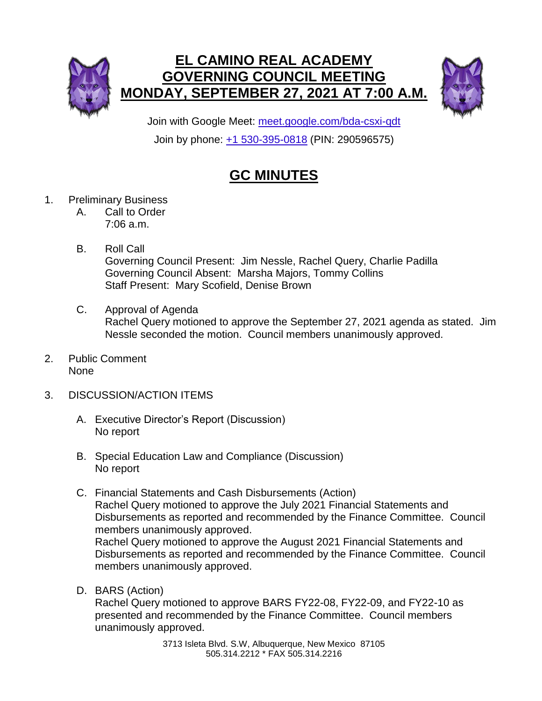



Join with Google Meet: [meet.google.com/bda-csxi-qdt](https://meet.google.com/bda-csxi-qdt?hs=224) Join by phone: [+1 530-395-0818](tel:+1-530-395-0818;290596575) (PIN: 290596575)

## **GC MINUTES**

- 1. Preliminary Business
	- A. Call to Order 7:06 a.m.
	- B. Roll Call Governing Council Present: Jim Nessle, Rachel Query, Charlie Padilla Governing Council Absent: Marsha Majors, Tommy Collins Staff Present: Mary Scofield, Denise Brown
	- C. Approval of Agenda Rachel Query motioned to approve the September 27, 2021 agenda as stated. Jim Nessle seconded the motion. Council members unanimously approved.
- 2. Public Comment None
- 3. DISCUSSION/ACTION ITEMS
	- A. Executive Director's Report (Discussion) No report
	- B. Special Education Law and Compliance (Discussion) No report
	- C. Financial Statements and Cash Disbursements (Action) Rachel Query motioned to approve the July 2021 Financial Statements and Disbursements as reported and recommended by the Finance Committee. Council members unanimously approved. Rachel Query motioned to approve the August 2021 Financial Statements and Disbursements as reported and recommended by the Finance Committee. Council members unanimously approved.
	- D. BARS (Action)

Rachel Query motioned to approve BARS FY22-08, FY22-09, and FY22-10 as presented and recommended by the Finance Committee. Council members unanimously approved.